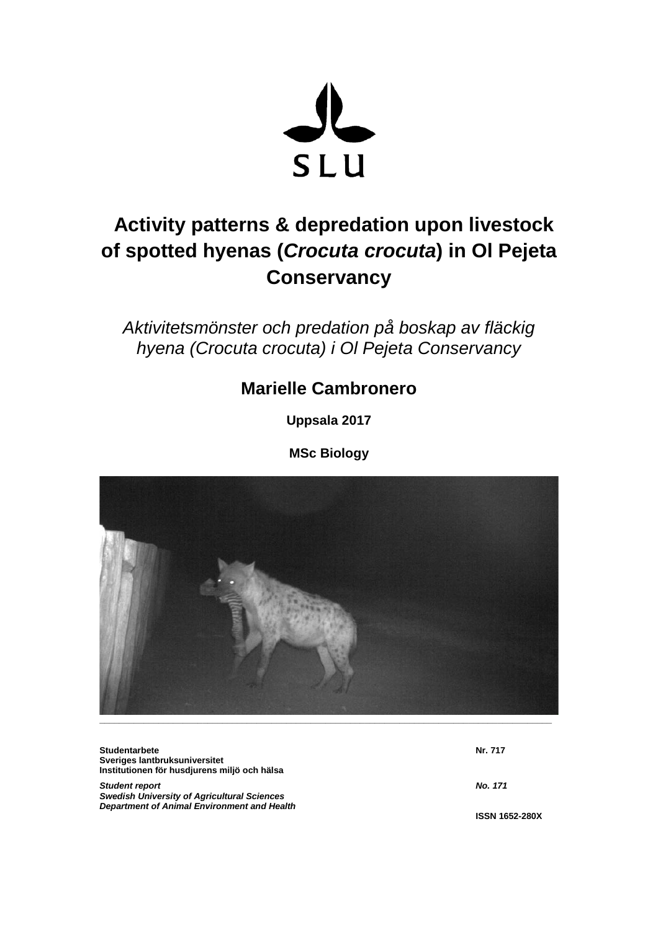

# **Activity patterns & depredation upon livestock of spotted hyenas (***Crocuta crocuta***) in Ol Pejeta Conservancy**

*Aktivitetsmönster och predation på boskap av fläckig hyena (Crocuta crocuta) i Ol Pejeta Conservancy*

# **Marielle Cambronero**

**Uppsala 2017**

**MSc Biology** 



| <b>Studentarbete</b>                               | Nr. 717               |
|----------------------------------------------------|-----------------------|
| Sveriges lantbruksuniversitet                      |                       |
| Institutionen för husdjurens miljö och hälsa       |                       |
| <b>Student report</b>                              | <b>No. 171</b>        |
| <b>Swedish University of Agricultural Sciences</b> |                       |
| Department of Animal Environment and Health        |                       |
|                                                    | <b>ISSN 1652-280X</b> |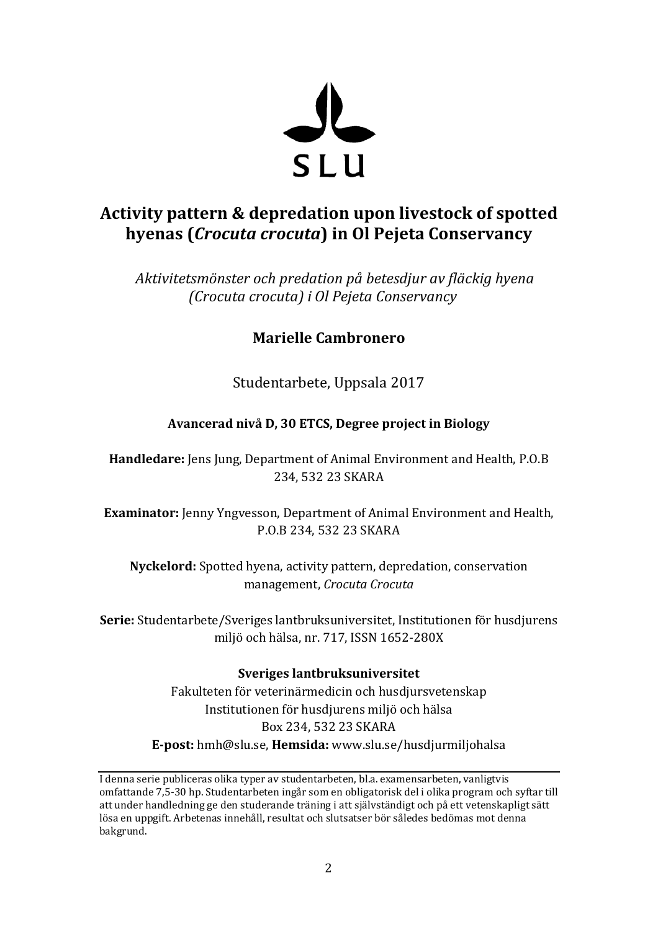

# **Activity pattern & depredation upon livestock of spotted hyenas (***Crocuta crocuta***) in Ol Pejeta Conservancy**

*Aktivitetsmönster och predation på betesdjur av fläckig hyena (Crocuta crocuta) i Ol Pejeta Conservancy*

## **Marielle Cambronero**

Studentarbete, Uppsala 2017

## **Avancerad nivå D, 30 ETCS, Degree project in Biology**

**Handledare:** Jens Jung, Department of Animal Environment and Health, P.O.B 234, 532 23 SKARA

**Examinator:** Jenny Yngvesson, Department of Animal Environment and Health, P.O.B 234, 532 23 SKARA

**Nyckelord:** Spotted hyena, activity pattern, depredation, conservation management, *Crocuta Crocuta*

**Serie:** Studentarbete/Sveriges lantbruksuniversitet, Institutionen för husdjurens miljö och hälsa, nr. 717, ISSN 1652-280X

## **Sveriges lantbruksuniversitet**

Fakulteten för veterinärmedicin och husdjursvetenskap Institutionen för husdjurens miljö och hälsa Box 234, 532 23 SKARA **E-post:** hmh@slu.se, **Hemsida:** www.slu.se/husdjurmiljohalsa

I denna serie publiceras olika typer av studentarbeten, bl.a. examensarbeten, vanligtvis omfattande 7,5-30 hp. Studentarbeten ingår som en obligatorisk del i olika program och syftar till att under handledning ge den studerande träning i att självständigt och på ett vetenskapligt sätt lösa en uppgift. Arbetenas innehåll, resultat och slutsatser bör således bedömas mot denna bakgrund.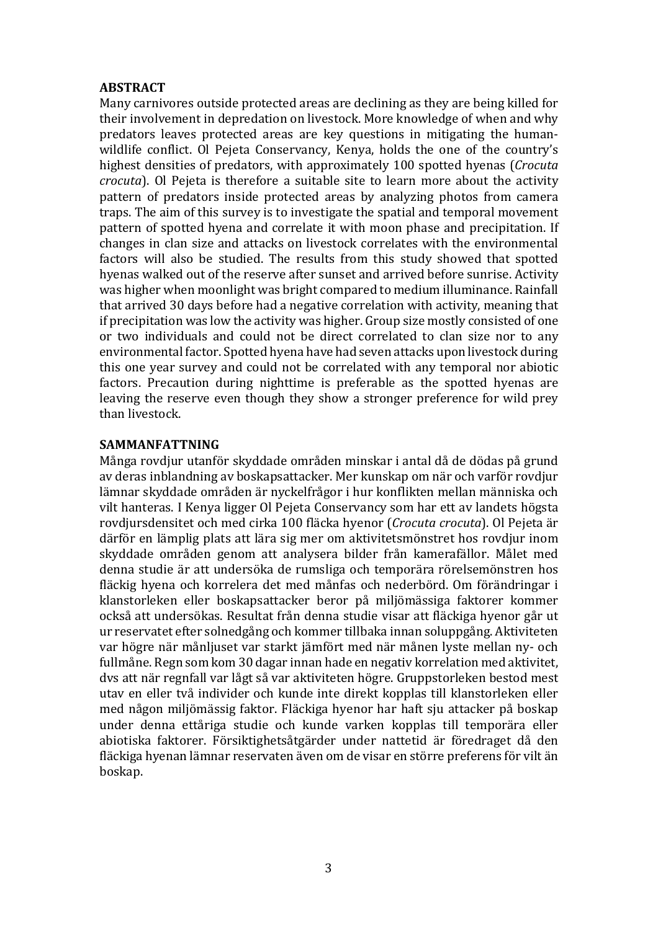#### **ABSTRACT**

Many carnivores outside protected areas are declining as they are being killed for their involvement in depredation on livestock. More knowledge of when and why predators leaves protected areas are key questions in mitigating the humanwildlife conflict. Ol Pejeta Conservancy, Kenya, holds the one of the country's highest densities of predators, with approximately 100 spotted hyenas (*Crocuta crocuta*). Ol Pejeta is therefore a suitable site to learn more about the activity pattern of predators inside protected areas by analyzing photos from camera traps. The aim of this survey is to investigate the spatial and temporal movement pattern of spotted hyena and correlate it with moon phase and precipitation. If changes in clan size and attacks on livestock correlates with the environmental factors will also be studied. The results from this study showed that spotted hyenas walked out of the reserve after sunset and arrived before sunrise. Activity was higher when moonlight was bright compared to medium illuminance. Rainfall that arrived 30 days before had a negative correlation with activity, meaning that if precipitation was low the activity was higher. Group size mostly consisted of one or two individuals and could not be direct correlated to clan size nor to any environmental factor. Spotted hyena have had seven attacks upon livestock during this one year survey and could not be correlated with any temporal nor abiotic factors. Precaution during nighttime is preferable as the spotted hyenas are leaving the reserve even though they show a stronger preference for wild prey than livestock.

#### **SAMMANFATTNING**

Många rovdjur utanför skyddade områden minskar i antal då de dödas på grund av deras inblandning av boskapsattacker. Mer kunskap om när och varför rovdjur lämnar skyddade områden är nyckelfrågor i hur konflikten mellan människa och vilt hanteras. I Kenya ligger Ol Pejeta Conservancy som har ett av landets högsta rovdjursdensitet och med cirka 100 fläcka hyenor (*Crocuta crocuta*). Ol Pejeta är därför en lämplig plats att lära sig mer om aktivitetsmönstret hos rovdjur inom skyddade områden genom att analysera bilder från kamerafällor. Målet med denna studie är att undersöka de rumsliga och temporära rörelsemönstren hos fläckig hyena och korrelera det med månfas och nederbörd. Om förändringar i klanstorleken eller boskapsattacker beror på miljömässiga faktorer kommer också att undersökas. Resultat från denna studie visar att fläckiga hyenor går ut ur reservatet efter solnedgång och kommer tillbaka innan soluppgång. Aktiviteten var högre när månljuset var starkt jämfört med när månen lyste mellan ny- och fullmåne. Regn som kom 30 dagar innan hade en negativ korrelation med aktivitet, dvs att när regnfall var lågt så var aktiviteten högre. Gruppstorleken bestod mest utav en eller två individer och kunde inte direkt kopplas till klanstorleken eller med någon miljömässig faktor. Fläckiga hyenor har haft sju attacker på boskap under denna ettåriga studie och kunde varken kopplas till temporära eller abiotiska faktorer. Försiktighetsåtgärder under nattetid är föredraget då den fläckiga hyenan lämnar reservaten även om de visar en större preferens för vilt än boskap.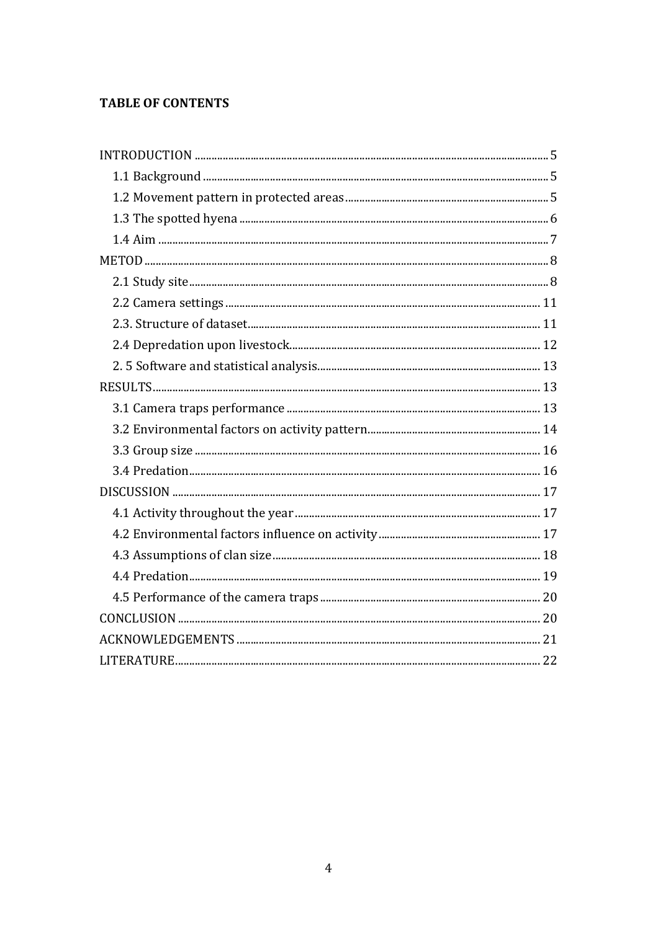## **TABLE OF CONTENTS**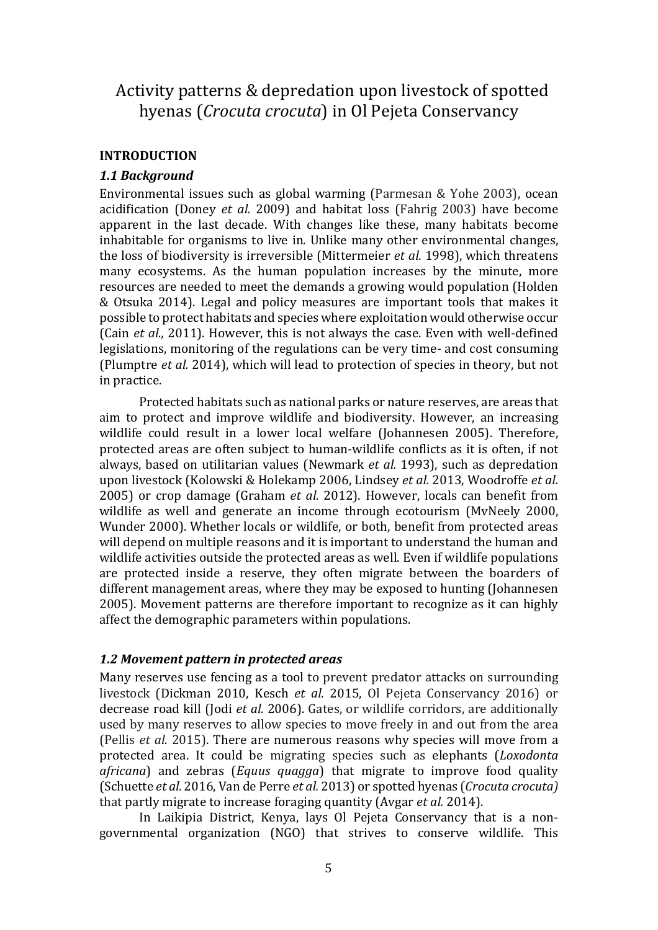# Activity patterns & depredation upon livestock of spotted hyenas (*Crocuta crocuta*) in Ol Pejeta Conservancy

### **INTRODUCTION**

#### *1.1 Background*

Environmental issues such as global warming (Parmesan & Yohe 2003), ocean acidification (Doney *et al.* 2009) and habitat loss (Fahrig 2003) have become apparent in the last decade. With changes like these, many habitats become inhabitable for organisms to live in. Unlike many other environmental changes, the loss of biodiversity is irreversible (Mittermeier *et al.* 1998), which threatens many ecosystems. As the human population increases by the minute, more resources are needed to meet the demands a growing would population (Holden & Otsuka 2014). Legal and policy measures are important tools that makes it possible to protect habitats and species where exploitation would otherwise occur (Cain *et al.,* 2011). However, this is not always the case. Even with well-defined legislations, monitoring of the regulations can be very time- and cost consuming (Plumptre *et al.* 2014), which will lead to protection of species in theory, but not in practice.

Protected habitats such as national parks or nature reserves, are areas that aim to protect and improve wildlife and biodiversity. However, an increasing wildlife could result in a lower local welfare (Johannesen 2005). Therefore, protected areas are often subject to human-wildlife conflicts as it is often, if not always, based on utilitarian values (Newmark *et al.* 1993), such as depredation upon livestock (Kolowski & Holekamp 2006, Lindsey *et al.* 2013, Woodroffe *et al.* 2005) or crop damage (Graham *et al.* 2012). However, locals can benefit from wildlife as well and generate an income through ecotourism (MvNeely 2000, Wunder 2000). Whether locals or wildlife, or both, benefit from protected areas will depend on multiple reasons and it is important to understand the human and wildlife activities outside the protected areas as well. Even if wildlife populations are protected inside a reserve, they often migrate between the boarders of different management areas, where they may be exposed to hunting (Johannesen 2005). Movement patterns are therefore important to recognize as it can highly affect the demographic parameters within populations.

#### *1.2 Movement pattern in protected areas*

Many reserves use fencing as a tool to prevent predator attacks on surrounding livestock (Dickman 2010, Kesch *et al.* 2015, Ol Pejeta Conservancy 2016) or decrease road kill (Jodi *et al.* 2006). Gates, or wildlife corridors, are additionally used by many reserves to allow species to move freely in and out from the area (Pellis *et al.* 2015). There are numerous reasons why species will move from a protected area. It could be migrating species such as elephants (*Loxodonta africana*) and zebras (*Equus quagga*) that migrate to improve food quality (Schuette *et al.* 2016, Van de Perre *et al.* 2013) or spotted hyenas (*Crocuta crocuta)* that partly migrate to increase foraging quantity (Avgar *et al.* 2014).

In Laikipia District, Kenya, lays Ol Pejeta Conservancy that is a nongovernmental organization (NGO) that strives to conserve wildlife. This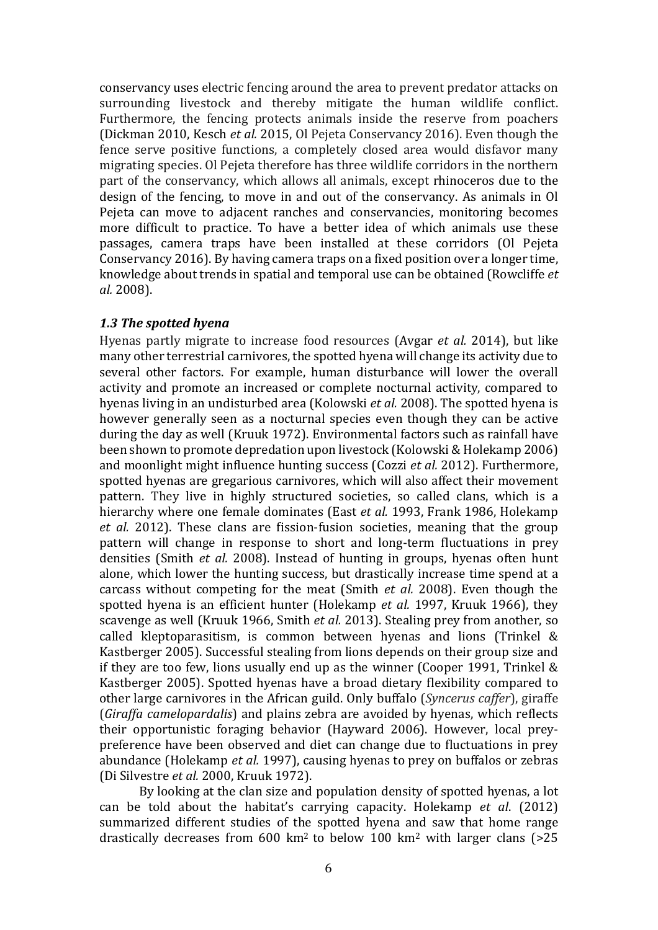conservancy uses electric fencing around the area to prevent predator attacks on surrounding livestock and thereby mitigate the human wildlife conflict. Furthermore, the fencing protects animals inside the reserve from poachers (Dickman 2010, Kesch *et al.* 2015, Ol Pejeta Conservancy 2016). Even though the fence serve positive functions, a completely closed area would disfavor many migrating species. Ol Pejeta therefore has three wildlife corridors in the northern part of the conservancy, which allows all animals, except rhinoceros due to the design of the fencing, to move in and out of the conservancy. As animals in Ol Pejeta can move to adjacent ranches and conservancies, monitoring becomes more difficult to practice. To have a better idea of which animals use these passages, camera traps have been installed at these corridors (Ol Pejeta Conservancy 2016). By having camera traps on a fixed position over a longer time, knowledge about trends in spatial and temporal use can be obtained (Rowcliffe *et al.* 2008).

#### *1.3 The spotted hyena*

Hyenas partly migrate to increase food resources (Avgar *et al.* 2014), but like many other terrestrial carnivores, the spotted hyena will change its activity due to several other factors. For example, human disturbance will lower the overall activity and promote an increased or complete nocturnal activity, compared to hyenas living in an undisturbed area (Kolowski *et al.* 2008). The spotted hyena is however generally seen as a nocturnal species even though they can be active during the day as well (Kruuk 1972). Environmental factors such as rainfall have been shown to promote depredation upon livestock (Kolowski & Holekamp 2006) and moonlight might influence hunting success (Cozzi *et al.* 2012). Furthermore, spotted hyenas are gregarious carnivores, which will also affect their movement pattern. They live in highly structured societies, so called clans, which is a hierarchy where one female dominates (East *et al.* 1993, Frank 1986, Holekamp *et al.* 2012). These clans are fission-fusion societies, meaning that the group pattern will change in response to short and long-term fluctuations in prey densities (Smith *et al.* 2008). Instead of hunting in groups, hyenas often hunt alone, which lower the hunting success, but drastically increase time spend at a carcass without competing for the meat (Smith *et al.* 2008). Even though the spotted hyena is an efficient hunter (Holekamp *et al.* 1997, Kruuk 1966), they scavenge as well (Kruuk 1966, Smith *et al.* 2013). Stealing prey from another, so called kleptoparasitism, is common between hyenas and lions (Trinkel & Kastberger 2005). Successful stealing from lions depends on their group size and if they are too few, lions usually end up as the winner (Cooper 1991, [Trinkel](http://onlinelibrary.wiley.com/doi/10.1111/j.1365-2028.2005.00574.x/abstract) & Kastberger 2005). Spotted hyenas have a broad dietary flexibility compared to other large carnivores in the African guild. Only buffalo (*Syncerus caffer*), giraffe (*Giraffa camelopardalis*) and plains zebra are avoided by hyenas, which reflects their opportunistic foraging behavior (Hayward 2006). However, local preypreference have been observed and diet can change due to fluctuations in prey abundance (Holekamp *et al.* 1997), causing hyenas to prey on buffalos or zebras (Di Silvestre *et al.* 2000, Kruuk 1972).

By looking at the clan size and population density of spotted hyenas, a lot can be told about the habitat's carrying capacity. Holekamp *et al*. (2012) summarized different studies of the spotted hyena and saw that home range drastically decreases from  $600 \text{ km}^2$  to below  $100 \text{ km}^2$  with larger clans (>25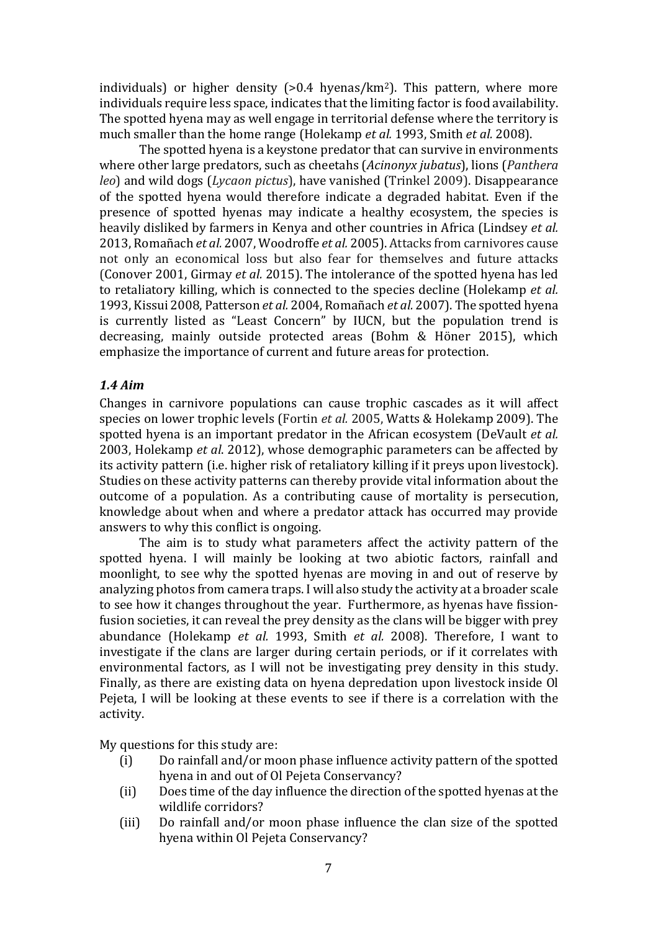individuals) or higher density  $(>0.4 \text{ hyenas/km}^2)$ . This pattern, where more individuals require less space, indicates that the limiting factor is food availability. The spotted hyena may as well engage in territorial defense where the territory is much smaller than the home range (Holekamp *et al.* 1993, Smith *et al.* 2008).

The spotted hyena is a keystone predator that can survive in environments where other large predators, such as cheetahs (*Acinonyx jubatus*), lions (*Panthera leo*) and wild dogs (*Lycaon pictus*), have vanished (Trinkel 2009). Disappearance of the spotted hyena would therefore indicate a degraded habitat. Even if the presence of spotted hyenas may indicate a healthy ecosystem, the species is heavily disliked by farmers in Kenya and other countries in Africa (Lindsey *et al.* 2013, Romañach *et al.* 2007, Woodroffe *et al.* 2005). Attacks from carnivores cause not only an economical loss but also fear for themselves and future attacks (Conover 2001, Girmay *et al.* 2015). The intolerance of the spotted hyena has led to retaliatory killing, which is connected to the species decline (Holekamp *et al.* 1993, Kissui 2008, Patterson *et al.* 2004, Romañach *et al.* 2007). The spotted hyena is currently listed as "Least Concern" by IUCN, but the population trend is decreasing, mainly outside protected areas (Bohm & Höner 2015), which emphasize the importance of current and future areas for protection.

#### *1.4 Aim*

Changes in carnivore populations can cause trophic cascades as it will affect species on lower trophic levels (Fortin *et al.* 2005, Watts & Holekamp 2009). The spotted hyena is an important predator in the African ecosystem (DeVault *et al.* 2003, Holekamp *et al*. 2012), whose demographic parameters can be affected by its activity pattern (i.e. higher risk of retaliatory killing if it preys upon livestock). Studies on these activity patterns can thereby provide vital information about the outcome of a population. As a contributing cause of mortality is persecution, knowledge about when and where a predator attack has occurred may provide answers to why this conflict is ongoing.

The aim is to study what parameters affect the activity pattern of the spotted hyena. I will mainly be looking at two abiotic factors, rainfall and moonlight, to see why the spotted hyenas are moving in and out of reserve by analyzing photos from camera traps. I will also study the activity at a broader scale to see how it changes throughout the year. Furthermore, as hyenas have fissionfusion societies, it can reveal the prey density as the clans will be bigger with prey abundance (Holekamp *et al.* 1993, Smith *et al.* 2008). Therefore, I want to investigate if the clans are larger during certain periods, or if it correlates with environmental factors, as I will not be investigating prey density in this study. Finally, as there are existing data on hyena depredation upon livestock inside Ol Pejeta, I will be looking at these events to see if there is a correlation with the activity.

My questions for this study are:<br>(i) Do rainfall and/or mo

- Do rainfall and/or moon phase influence activity pattern of the spotted hyena in and out of Ol Pejeta Conservancy?
- (ii) Does time of the day influence the direction of the spotted hyenas at the wildlife corridors?
- (iii) Do rainfall and/or moon phase influence the clan size of the spotted hyena within Ol Pejeta Conservancy?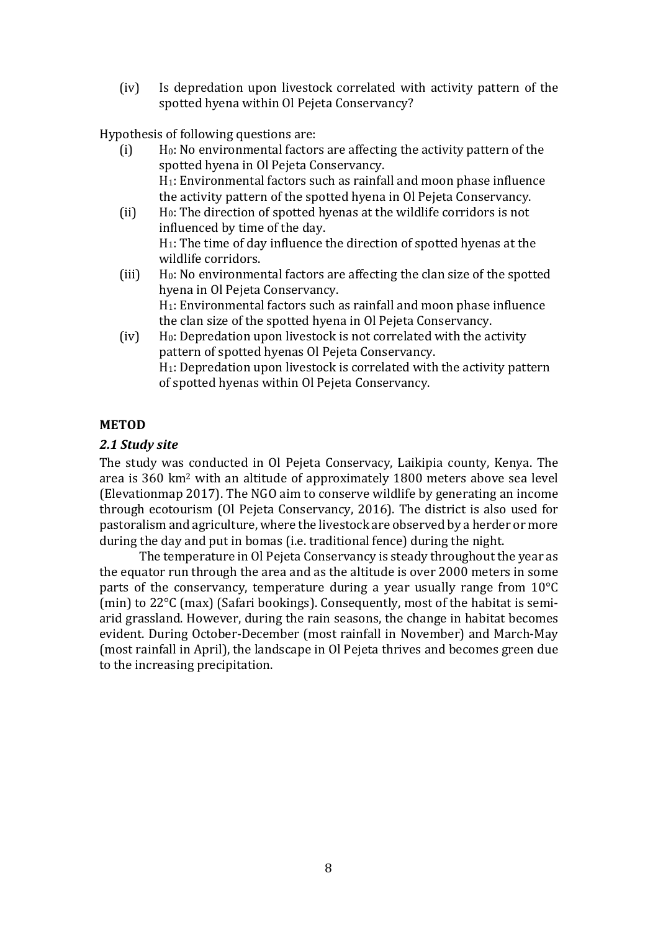(iv) Is depredation upon livestock correlated with activity pattern of the spotted hyena within Ol Pejeta Conservancy?

Hypothesis of following questions are:<br>(i) H<sub>0</sub>: No environmental factor

- H<sub>0</sub>: No environmental factors are affecting the activity pattern of the spotted hyena in Ol Pejeta Conservancy. H1: Environmental factors such as rainfall and moon phase influence the activity pattern of the spotted hyena in Ol Pejeta Conservancy. (ii) H0: The direction of spotted hyenas at the wildlife corridors is not
- influenced by time of the day. H1: The time of day influence the direction of spotted hyenas at the wildlife corridors.
- (iii) H0: No environmental factors are affecting the clan size of the spotted hyena in Ol Pejeta Conservancy. H1: Environmental factors such as rainfall and moon phase influence

the clan size of the spotted hyena in Ol Pejeta Conservancy.

(iv) H0: Depredation upon livestock is not correlated with the activity pattern of spotted hyenas Ol Pejeta Conservancy. H1: Depredation upon livestock is correlated with the activity pattern of spotted hyenas within Ol Pejeta Conservancy.

#### **METOD**

#### *2.1 Study site*

The study was conducted in Ol Pejeta Conservacy, Laikipia county, Kenya. The area is 360 km2 with an altitude of approximately 1800 meters above sea level (Elevationmap 2017). The NGO aim to conserve wildlife by generating an income through ecotourism (Ol Pejeta Conservancy, 2016). The district is also used for pastoralism and agriculture, where the livestock are observed by a herder or more during the day and put in bomas (i.e. traditional fence) during the night.

The temperature in Ol Pejeta Conservancy is steady throughout the year as the equator run through the area and as the altitude is over 2000 meters in some parts of the conservancy, temperature during a year usually range from 10°C (min) to 22°C (max) (Safari bookings). Consequently, most of the habitat is semiarid grassland. However, during the rain seasons, the change in habitat becomes evident. During October-December (most rainfall in November) and March-May (most rainfall in April), the landscape in Ol Pejeta thrives and becomes green due to the increasing precipitation.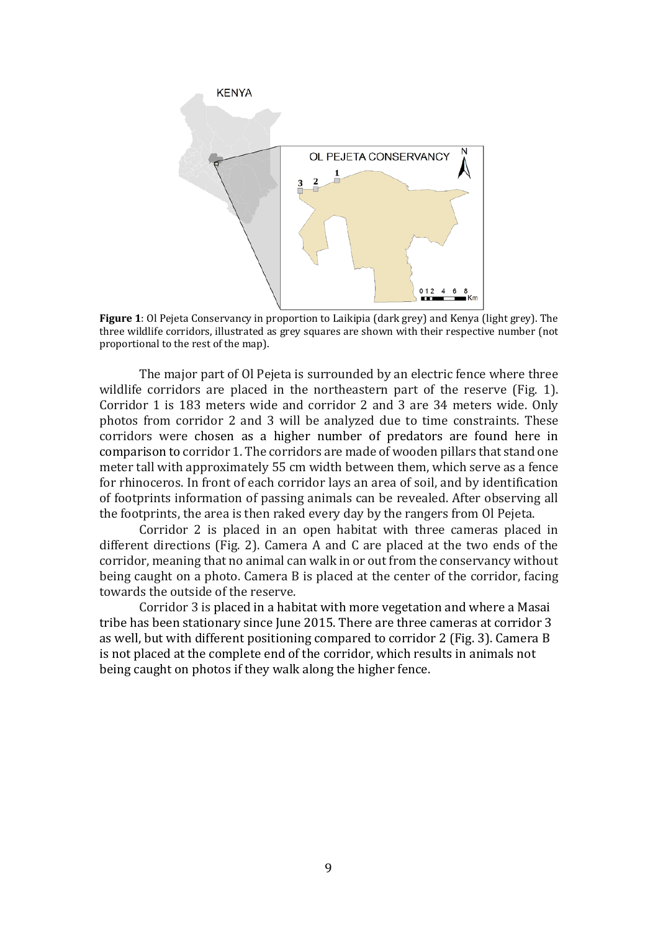

**Figure 1**: Ol Pejeta Conservancy in proportion to Laikipia (dark grey) and Kenya (light grey). The three wildlife corridors, illustrated as grey squares are shown with their respective number (not proportional to the rest of the map).

The major part of Ol Pejeta is surrounded by an electric fence where three wildlife corridors are placed in the northeastern part of the reserve (Fig. 1). Corridor 1 is 183 meters wide and corridor 2 and 3 are 34 meters wide. Only photos from corridor 2 and 3 will be analyzed due to time constraints. These corridors were chosen as a higher number of predators are found here in comparison to corridor 1. The corridors are made of wooden pillars that stand one meter tall with approximately 55 cm width between them, which serve as a fence for rhinoceros. In front of each corridor lays an area of soil, and by identification of footprints information of passing animals can be revealed. After observing all the footprints, the area is then raked every day by the rangers from Ol Pejeta.

Corridor 2 is placed in an open habitat with three cameras placed in different directions (Fig. 2). Camera A and C are placed at the two ends of the corridor, meaning that no animal can walk in or out from the conservancy without being caught on a photo. Camera B is placed at the center of the corridor, facing towards the outside of the reserve.

Corridor 3 is placed in a habitat with more vegetation and where a Masai tribe has been stationary since June 2015. There are three cameras at corridor 3 as well, but with different positioning compared to corridor 2 (Fig. 3). Camera B is not placed at the complete end of the corridor, which results in animals not being caught on photos if they walk along the higher fence.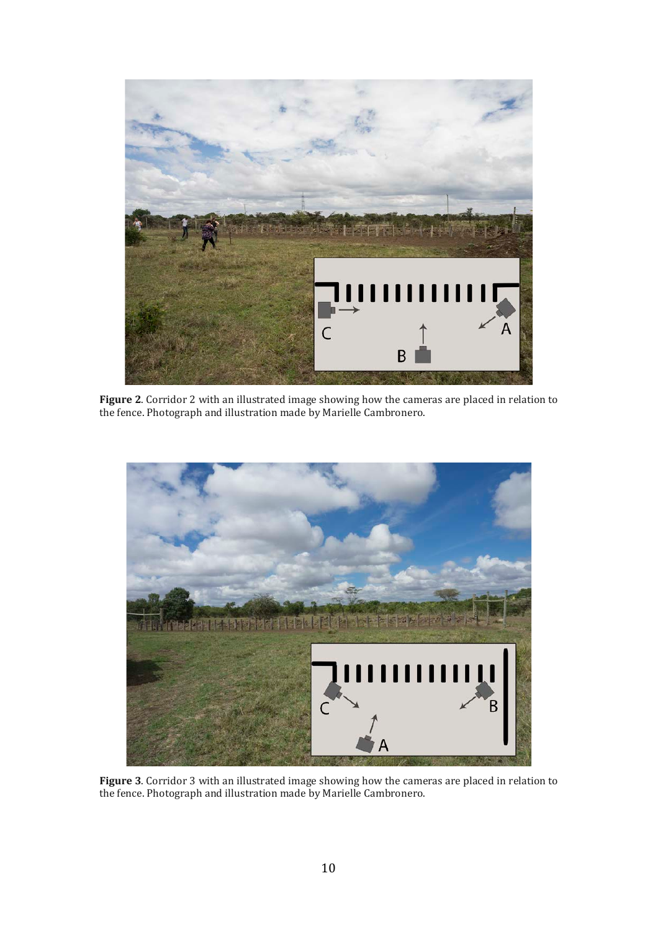

**Figure 2**. Corridor 2 with an illustrated image showing how the cameras are placed in relation to the fence. Photograph and illustration made by Marielle Cambronero.



**Figure 3**. Corridor 3 with an illustrated image showing how the cameras are placed in relation to the fence. Photograph and illustration made by Marielle Cambronero.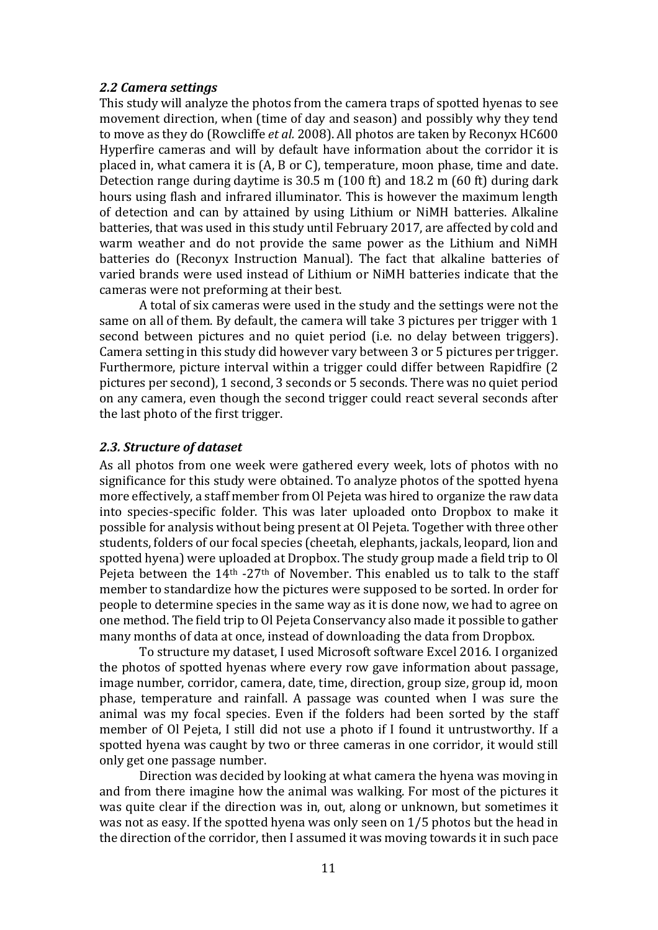#### *2.2 Camera settings*

This study will analyze the photos from the camera traps of spotted hyenas to see movement direction, when (time of day and season) and possibly why they tend to move as they do (Rowcliffe *et al.* 2008). All photos are taken by Reconyx HC600 Hyperfire cameras and will by default have information about the corridor it is placed in, what camera it is (A, B or C), temperature, moon phase, time and date. Detection range during daytime is 30.5 m (100 ft) and 18.2 m (60 ft) during dark hours using flash and infrared illuminator. This is however the maximum length of detection and can by attained by using Lithium or NiMH batteries. Alkaline batteries, that was used in this study until February 2017, are affected by cold and warm weather and do not provide the same power as the Lithium and NiMH batteries do (Reconyx Instruction Manual). The fact that alkaline batteries of varied brands were used instead of Lithium or NiMH batteries indicate that the cameras were not preforming at their best.

A total of six cameras were used in the study and the settings were not the same on all of them. By default, the camera will take 3 pictures per trigger with 1 second between pictures and no quiet period (i.e. no delay between triggers). Camera setting in this study did however vary between 3 or 5 pictures per trigger. Furthermore, picture interval within a trigger could differ between Rapidfire (2 pictures per second), 1 second, 3 seconds or 5 seconds. There was no quiet period on any camera, even though the second trigger could react several seconds after the last photo of the first trigger.

#### *2.3. Structure of dataset*

As all photos from one week were gathered every week, lots of photos with no significance for this study were obtained. To analyze photos of the spotted hyena more effectively, a staff member from Ol Pejeta was hired to organize the raw data into species-specific folder. This was later uploaded onto Dropbox to make it possible for analysis without being present at Ol Pejeta. Together with three other students, folders of our focal species (cheetah, elephants, jackals, leopard, lion and spotted hyena) were uploaded at Dropbox. The study group made a field trip to Ol Pejeta between the 14<sup>th</sup> -27<sup>th</sup> of November. This enabled us to talk to the staff member to standardize how the pictures were supposed to be sorted. In order for people to determine species in the same way as it is done now, we had to agree on one method. The field trip to Ol Pejeta Conservancy also made it possible to gather many months of data at once, instead of downloading the data from Dropbox.

To structure my dataset, I used Microsoft software Excel 2016. I organized the photos of spotted hyenas where every row gave information about passage, image number, corridor, camera, date, time, direction, group size, group id, moon phase, temperature and rainfall. A passage was counted when I was sure the animal was my focal species. Even if the folders had been sorted by the staff member of Ol Pejeta, I still did not use a photo if I found it untrustworthy. If a spotted hyena was caught by two or three cameras in one corridor, it would still only get one passage number.

Direction was decided by looking at what camera the hyena was moving in and from there imagine how the animal was walking. For most of the pictures it was quite clear if the direction was in, out, along or unknown, but sometimes it was not as easy. If the spotted hyena was only seen on 1/5 photos but the head in the direction of the corridor, then I assumed it was moving towards it in such pace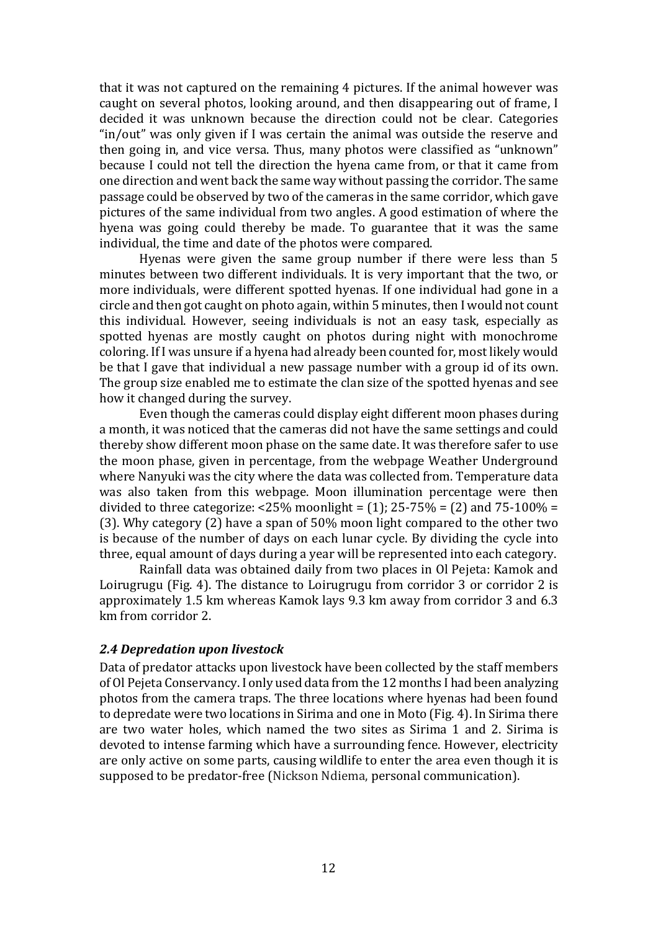that it was not captured on the remaining 4 pictures. If the animal however was caught on several photos, looking around, and then disappearing out of frame, I decided it was unknown because the direction could not be clear. Categories "in/out" was only given if I was certain the animal was outside the reserve and then going in, and vice versa. Thus, many photos were classified as "unknown" because I could not tell the direction the hyena came from, or that it came from one direction and went back the same way without passing the corridor. The same passage could be observed by two of the cameras in the same corridor, which gave pictures of the same individual from two angles. A good estimation of where the hyena was going could thereby be made. To guarantee that it was the same individual, the time and date of the photos were compared.

Hyenas were given the same group number if there were less than 5 minutes between two different individuals. It is very important that the two, or more individuals, were different spotted hyenas. If one individual had gone in a circle and then got caught on photo again, within 5 minutes, then I would not count this individual. However, seeing individuals is not an easy task, especially as spotted hyenas are mostly caught on photos during night with monochrome coloring. If I was unsure if a hyena had already been counted for, most likely would be that I gave that individual a new passage number with a group id of its own. The group size enabled me to estimate the clan size of the spotted hyenas and see how it changed during the survey.

Even though the cameras could display eight different moon phases during a month, it was noticed that the cameras did not have the same settings and could thereby show different moon phase on the same date. It was therefore safer to use the moon phase, given in percentage, from the webpage Weather Underground where Nanyuki was the city where the data was collected from. Temperature data was also taken from this webpage. Moon illumination percentage were then divided to three categorize:  $\langle 25\% \text{ moonlight} = (1); 25-75\% = (2) \text{ and } 75-100\% =$ (3). Why category (2) have a span of 50% moon light compared to the other two is because of the number of days on each lunar cycle. By dividing the cycle into three, equal amount of days during a year will be represented into each category.

Rainfall data was obtained daily from two places in Ol Pejeta: Kamok and Loirugrugu (Fig. 4). The distance to Loirugrugu from corridor 3 or corridor 2 is approximately 1.5 km whereas Kamok lays 9.3 km away from corridor 3 and 6.3 km from corridor 2.

#### *2.4 Depredation upon livestock*

Data of predator attacks upon livestock have been collected by the staff members of Ol Pejeta Conservancy. I only used data from the 12 months I had been analyzing photos from the camera traps. The three locations where hyenas had been found to depredate were two locations in Sirima and one in Moto (Fig. 4). In Sirima there are two water holes, which named the two sites as Sirima 1 and 2. Sirima is devoted to intense farming which have a surrounding fence. However, electricity are only active on some parts, causing wildlife to enter the area even though it is supposed to be predator-free (Nickson Ndiema, personal communication).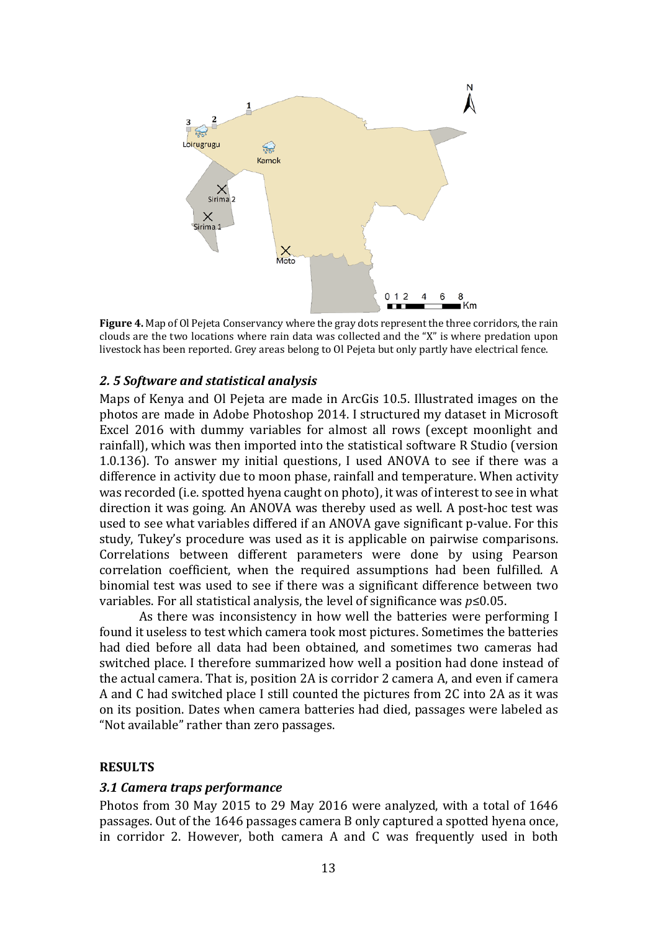

**Figure 4.** Map of Ol Pejeta Conservancy where the gray dots represent the three corridors, the rain clouds are the two locations where rain data was collected and the "X" is where predation upon livestock has been reported. Grey areas belong to Ol Pejeta but only partly have electrical fence.

#### *2. 5 Software and statistical analysis*

Maps of Kenya and Ol Pejeta are made in ArcGis 10.5. Illustrated images on the photos are made in Adobe Photoshop 2014. I structured my dataset in Microsoft Excel 2016 with dummy variables for almost all rows (except moonlight and rainfall), which was then imported into the statistical software R Studio (version 1.0.136). To answer my initial questions, I used ANOVA to see if there was a difference in activity due to moon phase, rainfall and temperature. When activity was recorded (i.e. spotted hyena caught on photo), it was of interest to see in what direction it was going. An ANOVA was thereby used as well. A post-hoc test was used to see what variables differed if an ANOVA gave significant p-value. For this study, Tukey's procedure was used as it is applicable on pairwise comparisons. Correlations between different parameters were done by using Pearson correlation coefficient, when the required assumptions had been fulfilled. A binomial test was used to see if there was a significant difference between two variables. For all statistical analysis, the level of significance was *p*≤0.05.

As there was inconsistency in how well the batteries were performing I found it useless to test which camera took most pictures. Sometimes the batteries had died before all data had been obtained, and sometimes two cameras had switched place. I therefore summarized how well a position had done instead of the actual camera. That is, position 2A is corridor 2 camera A, and even if camera A and C had switched place I still counted the pictures from 2C into 2A as it was on its position. Dates when camera batteries had died, passages were labeled as "Not available" rather than zero passages.

#### **RESULTS**

#### *3.1 Camera traps performance*

Photos from 30 May 2015 to 29 May 2016 were analyzed, with a total of 1646 passages. Out of the 1646 passages camera B only captured a spotted hyena once, in corridor 2. However, both camera A and C was frequently used in both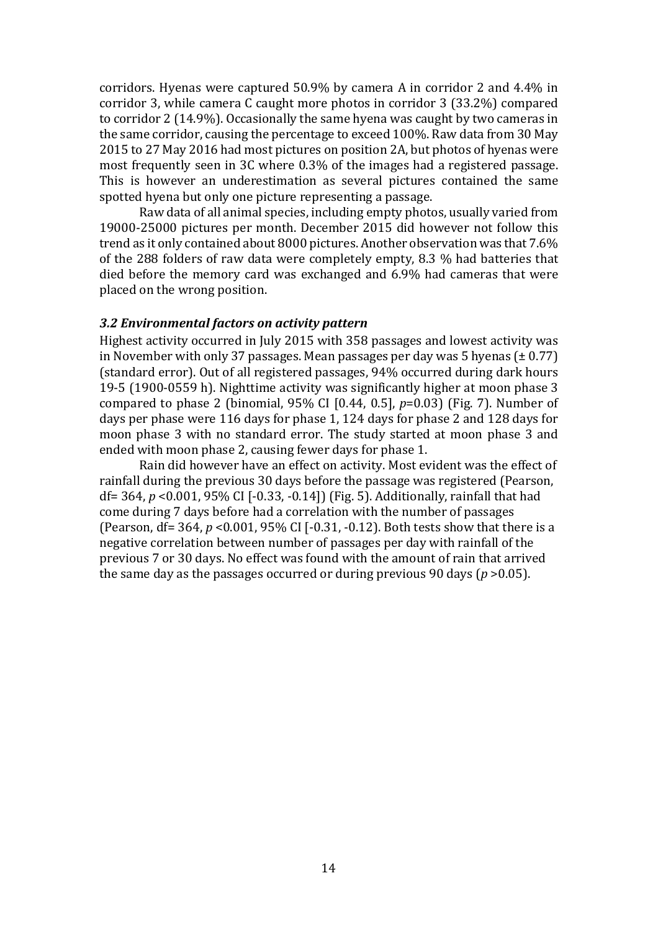corridors. Hyenas were captured 50.9% by camera A in corridor 2 and 4.4% in corridor 3, while camera C caught more photos in corridor 3 (33.2%) compared to corridor 2 (14.9%). Occasionally the same hyena was caught by two cameras in the same corridor, causing the percentage to exceed 100%. Raw data from 30 May 2015 to 27 May 2016 had most pictures on position 2A, but photos of hyenas were most frequently seen in 3C where 0.3% of the images had a registered passage. This is however an underestimation as several pictures contained the same spotted hyena but only one picture representing a passage.

Raw data of all animal species, including empty photos, usually varied from 19000-25000 pictures per month. December 2015 did however not follow this trend as it only contained about 8000 pictures. Another observation was that 7.6% of the 288 folders of raw data were completely empty, 8.3 % had batteries that died before the memory card was exchanged and 6.9% had cameras that were placed on the wrong position.

#### *3.2 Environmental factors on activity pattern*

Highest activity occurred in July 2015 with 358 passages and lowest activity was in November with only 37 passages. Mean passages per day was 5 hyenas  $(\pm 0.77)$ (standard error). Out of all registered passages, 94% occurred during dark hours 19-5 (1900-0559 h). Nighttime activity was significantly higher at moon phase 3 compared to phase 2 (binomial, 95% CI [0.44, 0.5], *p*=0.03) (Fig. 7). Number of days per phase were 116 days for phase 1, 124 days for phase 2 and 128 days for moon phase 3 with no standard error. The study started at moon phase 3 and ended with moon phase 2, causing fewer days for phase 1.

Rain did however have an effect on activity. Most evident was the effect of rainfall during the previous 30 days before the passage was registered (Pearson, df= 364, *p* <0.001, 95% CI [-0.33, -0.14]) (Fig. 5). Additionally, rainfall that had come during 7 days before had a correlation with the number of passages (Pearson, df= 364, *p* <0.001, 95% CI [-0.31, -0.12). Both tests show that there is a negative correlation between number of passages per day with rainfall of the previous 7 or 30 days. No effect was found with the amount of rain that arrived the same day as the passages occurred or during previous 90 days (*p* >0.05).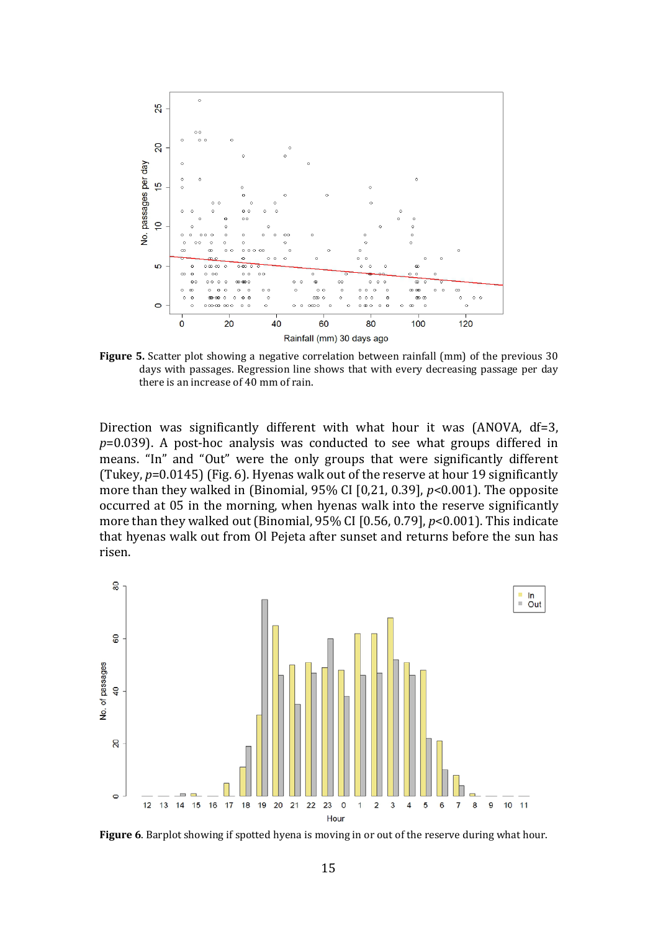

**Figure 5.** Scatter plot showing a negative correlation between rainfall (mm) of the previous 30 days with passages. Regression line shows that with every decreasing passage per day there is an increase of 40 mm of rain.

Direction was significantly different with what hour it was (ANOVA, df=3, *p*=0.039). A post-hoc analysis was conducted to see what groups differed in means. "In" and "Out" were the only groups that were significantly different (Tukey, *p*=0.0145) (Fig. 6). Hyenas walk out of the reserve at hour 19 significantly more than they walked in (Binomial, 95% CI [0,21, 0.39], *p*<0.001). The opposite occurred at 05 in the morning, when hyenas walk into the reserve significantly more than they walked out (Binomial, 95% CI [0.56, 0.79], *p*<0.001). This indicate that hyenas walk out from Ol Pejeta after sunset and returns before the sun has risen.



**Figure 6**. Barplot showing if spotted hyena is moving in or out of the reserve during what hour.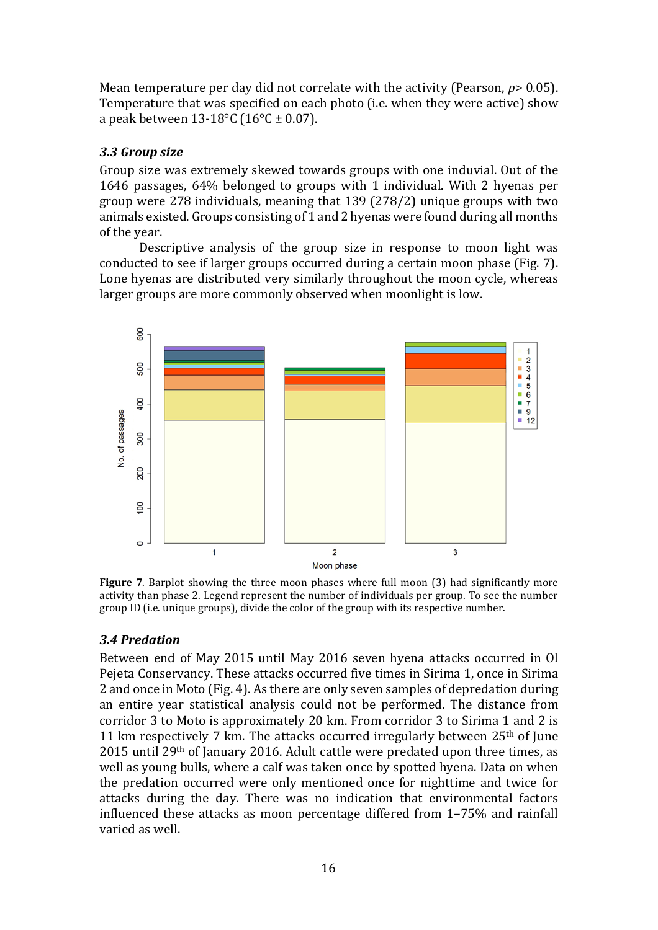Mean temperature per day did not correlate with the activity (Pearson, *p*> 0.05). Temperature that was specified on each photo (i.e. when they were active) show a peak between  $13-18$ °C ( $16$ °C ± 0.07).

#### *3.3 Group size*

Group size was extremely skewed towards groups with one induvial. Out of the 1646 passages, 64% belonged to groups with 1 individual. With 2 hyenas per group were 278 individuals, meaning that 139 (278/2) unique groups with two animals existed. Groups consisting of 1 and 2 hyenas were found during all months of the year.

Descriptive analysis of the group size in response to moon light was conducted to see if larger groups occurred during a certain moon phase (Fig. 7). Lone hyenas are distributed very similarly throughout the moon cycle, whereas larger groups are more commonly observed when moonlight is low.



**Figure 7**. Barplot showing the three moon phases where full moon (3) had significantly more activity than phase 2. Legend represent the number of individuals per group. To see the number group ID (i.e. unique groups), divide the color of the group with its respective number.

## *3.4 Predation*

Between end of May 2015 until May 2016 seven hyena attacks occurred in Ol Pejeta Conservancy. These attacks occurred five times in Sirima 1, once in Sirima 2 and once in Moto (Fig. 4). As there are only seven samples of depredation during an entire year statistical analysis could not be performed. The distance from corridor 3 to Moto is approximately 20 km. From corridor 3 to Sirima 1 and 2 is 11 km respectively 7 km. The attacks occurred irregularly between  $25<sup>th</sup>$  of June 2015 until 29th of January 2016. Adult cattle were predated upon three times, as well as young bulls, where a calf was taken once by spotted hyena. Data on when the predation occurred were only mentioned once for nighttime and twice for attacks during the day. There was no indication that environmental factors influenced these attacks as moon percentage differed from 1–75% and rainfall varied as well.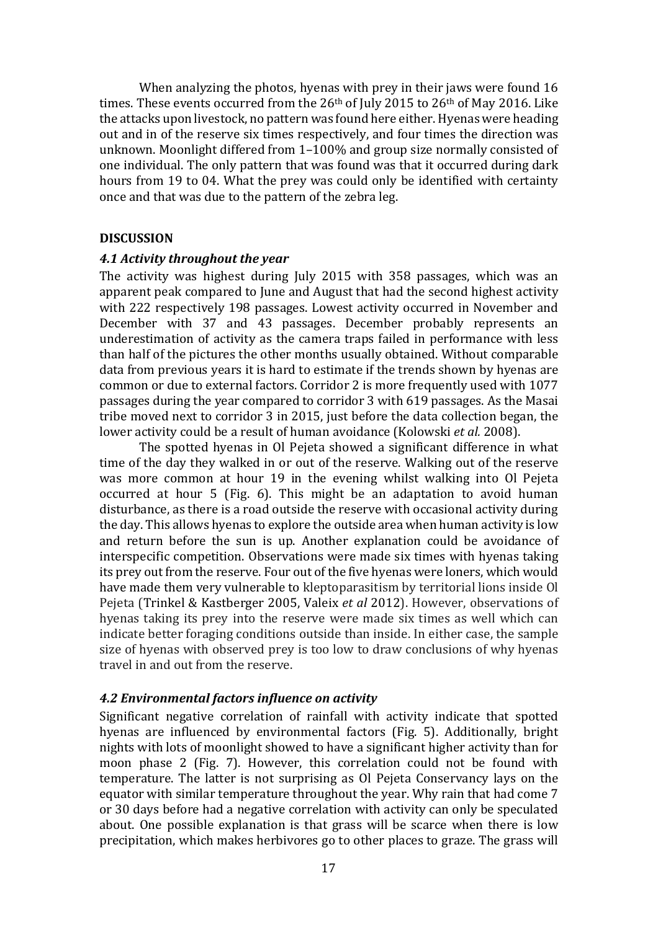When analyzing the photos, hyenas with prey in their jaws were found 16 times. These events occurred from the 26<sup>th</sup> of July 2015 to 26<sup>th</sup> of May 2016. Like the attacks upon livestock, no pattern was found here either. Hyenas were heading out and in of the reserve six times respectively, and four times the direction was unknown. Moonlight differed from 1–100% and group size normally consisted of one individual. The only pattern that was found was that it occurred during dark hours from 19 to 04. What the prey was could only be identified with certainty once and that was due to the pattern of the zebra leg.

#### **DISCUSSION**

#### *4.1 Activity throughout the year*

The activity was highest during July 2015 with 358 passages, which was an apparent peak compared to June and August that had the second highest activity with 222 respectively 198 passages. Lowest activity occurred in November and December with 37 and 43 passages. December probably represents an underestimation of activity as the camera traps failed in performance with less than half of the pictures the other months usually obtained. Without comparable data from previous years it is hard to estimate if the trends shown by hyenas are common or due to external factors. Corridor 2 is more frequently used with 1077 passages during the year compared to corridor 3 with 619 passages. As the Masai tribe moved next to corridor 3 in 2015, just before the data collection began, the lower activity could be a result of human avoidance (Kolowski *et al.* 2008).

The spotted hyenas in Ol Pejeta showed a significant difference in what time of the day they walked in or out of the reserve. Walking out of the reserve was more common at hour 19 in the evening whilst walking into Ol Pejeta occurred at hour 5 (Fig. 6). This might be an adaptation to avoid human disturbance, as there is a road outside the reserve with occasional activity during the day. This allows hyenas to explore the outside area when human activity is low and return before the sun is up. Another explanation could be avoidance of interspecific competition. Observations were made six times with hyenas taking its prey out from the reserve. Four out of the five hyenas were loners, which would have made them very vulnerable to kleptoparasitism by territorial lions inside Ol Pejeta (Trinkel & Kastberger 2005, Valeix *et al* 2012). However, observations of hyenas taking its prey into the reserve were made six times as well which can indicate better foraging conditions outside than inside. In either case, the sample size of hyenas with observed prey is too low to draw conclusions of why hyenas travel in and out from the reserve.

#### *4.2 Environmental factors influence on activity*

Significant negative correlation of rainfall with activity indicate that spotted hyenas are influenced by environmental factors (Fig. 5). Additionally, bright nights with lots of moonlight showed to have a significant higher activity than for moon phase 2 (Fig. 7). However, this correlation could not be found with temperature. The latter is not surprising as Ol Pejeta Conservancy lays on the equator with similar temperature throughout the year. Why rain that had come 7 or 30 days before had a negative correlation with activity can only be speculated about. One possible explanation is that grass will be scarce when there is low precipitation, which makes herbivores go to other places to graze. The grass will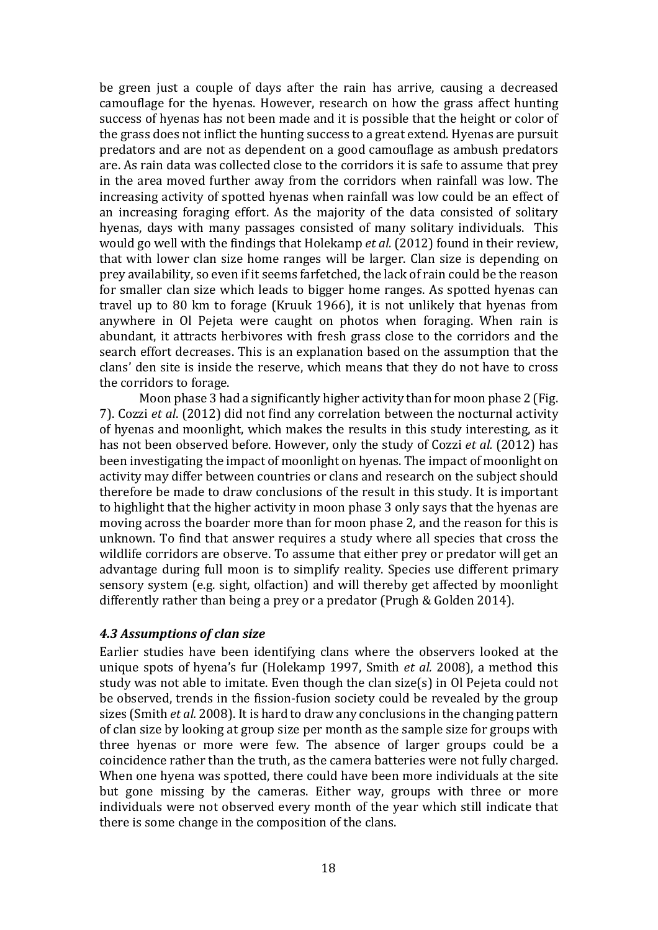be green just a couple of days after the rain has arrive, causing a decreased camouflage for the hyenas. However, research on how the grass affect hunting success of hyenas has not been made and it is possible that the height or color of the grass does not inflict the hunting success to a great extend. Hyenas are pursuit predators and are not as dependent on a good camouflage as ambush predators are. As rain data was collected close to the corridors it is safe to assume that prey in the area moved further away from the corridors when rainfall was low. The increasing activity of spotted hyenas when rainfall was low could be an effect of an increasing foraging effort. As the majority of the data consisted of solitary hyenas, days with many passages consisted of many solitary individuals. This would go well with the findings that Holekamp *et al.* (2012) found in their review, that with lower clan size home ranges will be larger. Clan size is depending on prey availability, so even if it seems farfetched, the lack of rain could be the reason for smaller clan size which leads to bigger home ranges. As spotted hyenas can travel up to 80 km to forage (Kruuk 1966), it is not unlikely that hyenas from anywhere in Ol Pejeta were caught on photos when foraging. When rain is abundant, it attracts herbivores with fresh grass close to the corridors and the search effort decreases. This is an explanation based on the assumption that the clans' den site is inside the reserve, which means that they do not have to cross the corridors to forage.

Moon phase 3 had a significantly higher activity than for moon phase 2 (Fig. 7). Cozzi *et al*. (2012) did not find any correlation between the nocturnal activity of hyenas and moonlight, which makes the results in this study interesting, as it has not been observed before. However, only the study of Cozzi *et al.* (2012) has been investigating the impact of moonlight on hyenas. The impact of moonlight on activity may differ between countries or clans and research on the subject should therefore be made to draw conclusions of the result in this study. It is important to highlight that the higher activity in moon phase 3 only says that the hyenas are moving across the boarder more than for moon phase 2, and the reason for this is unknown. To find that answer requires a study where all species that cross the wildlife corridors are observe. To assume that either prey or predator will get an advantage during full moon is to simplify reality. Species use different primary sensory system (e.g. sight, olfaction) and will thereby get affected by moonlight differently rather than being a prey or a predator (Prugh & Golden 2014).

#### *4.3 Assumptions of clan size*

Earlier studies have been identifying clans where the observers looked at the unique spots of hyena's fur (Holekamp 1997, Smith *et al.* 2008), a method this study was not able to imitate. Even though the clan size(s) in Ol Pejeta could not be observed, trends in the fission-fusion society could be revealed by the group sizes (Smith *et al.* 2008). It is hard to draw any conclusions in the changing pattern of clan size by looking at group size per month as the sample size for groups with three hyenas or more were few. The absence of larger groups could be a coincidence rather than the truth, as the camera batteries were not fully charged. When one hyena was spotted, there could have been more individuals at the site but gone missing by the cameras. Either way, groups with three or more individuals were not observed every month of the year which still indicate that there is some change in the composition of the clans.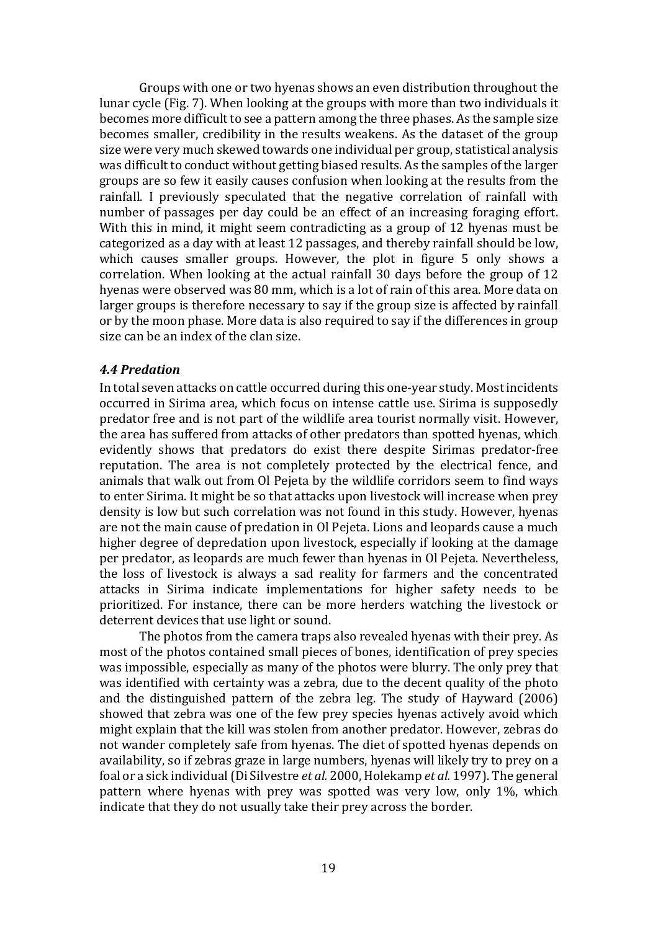Groups with one or two hyenas shows an even distribution throughout the lunar cycle (Fig. 7). When looking at the groups with more than two individuals it becomes more difficult to see a pattern among the three phases. As the sample size becomes smaller, credibility in the results weakens. As the dataset of the group size were very much skewed towards one individual per group, statistical analysis was difficult to conduct without getting biased results. As the samples of the larger groups are so few it easily causes confusion when looking at the results from the rainfall. I previously speculated that the negative correlation of rainfall with number of passages per day could be an effect of an increasing foraging effort. With this in mind, it might seem contradicting as a group of 12 hyenas must be categorized as a day with at least 12 passages, and thereby rainfall should be low, which causes smaller groups. However, the plot in figure 5 only shows a correlation. When looking at the actual rainfall 30 days before the group of 12 hyenas were observed was 80 mm, which is a lot of rain of this area. More data on larger groups is therefore necessary to say if the group size is affected by rainfall or by the moon phase. More data is also required to say if the differences in group size can be an index of the clan size.

#### *4.4 Predation*

In total seven attacks on cattle occurred during this one-year study. Most incidents occurred in Sirima area, which focus on intense cattle use. Sirima is supposedly predator free and is not part of the wildlife area tourist normally visit. However, the area has suffered from attacks of other predators than spotted hyenas, which evidently shows that predators do exist there despite Sirimas predator-free reputation. The area is not completely protected by the electrical fence, and animals that walk out from Ol Pejeta by the wildlife corridors seem to find ways to enter Sirima. It might be so that attacks upon livestock will increase when prey density is low but such correlation was not found in this study. However, hyenas are not the main cause of predation in Ol Pejeta. Lions and leopards cause a much higher degree of depredation upon livestock, especially if looking at the damage per predator, as leopards are much fewer than hyenas in Ol Pejeta. Nevertheless, the loss of livestock is always a sad reality for farmers and the concentrated attacks in Sirima indicate implementations for higher safety needs to be prioritized. For instance, there can be more herders watching the livestock or deterrent devices that use light or sound.

The photos from the camera traps also revealed hyenas with their prey. As most of the photos contained small pieces of bones, identification of prey species was impossible, especially as many of the photos were blurry. The only prey that was identified with certainty was a zebra, due to the decent quality of the photo and the distinguished pattern of the zebra leg. The study of Hayward (2006) showed that zebra was one of the few prey species hyenas actively avoid which might explain that the kill was stolen from another predator. However, zebras do not wander completely safe from hyenas. The diet of spotted hyenas depends on availability, so if zebras graze in large numbers, hyenas will likely try to prey on a foal or a sick individual(Di Silvestre *et al.* 2000, Holekamp *et al.* 1997). The general pattern where hyenas with prey was spotted was very low, only 1%, which indicate that they do not usually take their prey across the border.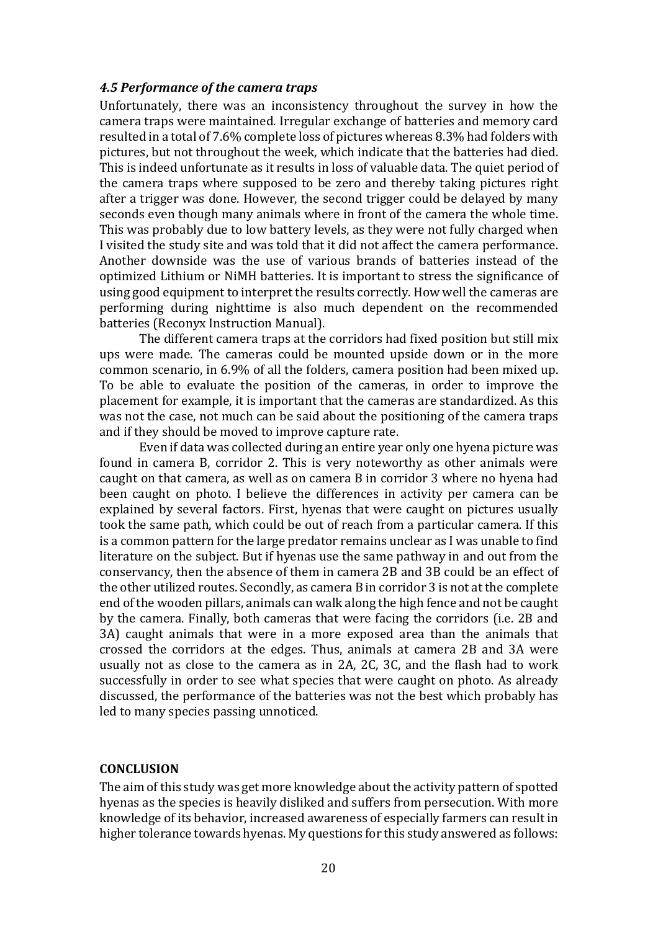#### *4.5 Performance of the camera traps*

Unfortunately, there was an inconsistency throughout the survey in how the camera traps were maintained. Irregular exchange of batteries and memory card resulted in a total of 7.6% complete loss of pictures whereas 8.3% had folders with pictures, but not throughout the week, which indicate that the batteries had died. This is indeed unfortunate as it results in loss of valuable data. The quiet period of the camera traps where supposed to be zero and thereby taking pictures right after a trigger was done. However, the second trigger could be delayed by many seconds even though many animals where in front of the camera the whole time. This was probably due to low battery levels, as they were not fully charged when I visited the study site and was told that it did not affect the camera performance. Another downside was the use of various brands of batteries instead of the optimized Lithium or NiMH batteries. It is important to stress the significance of using good equipment to interpret the results correctly. How well the cameras are performing during nighttime is also much dependent on the recommended batteries (Reconyx Instruction Manual).

The different camera traps at the corridors had fixed position but still mix ups were made. The cameras could be mounted upside down or in the more common scenario, in 6.9% of all the folders, camera position had been mixed up. To be able to evaluate the position of the cameras, in order to improve the placement for example, it is important that the cameras are standardized. As this was not the case, not much can be said about the positioning of the camera traps and if they should be moved to improve capture rate.

Even if data was collected during an entire year only one hyena picture was found in camera B, corridor 2. This is very noteworthy as other animals were caught on that camera, as well as on camera B in corridor 3 where no hyena had been caught on photo. I believe the differences in activity per camera can be explained by several factors. First, hyenas that were caught on pictures usually took the same path, which could be out of reach from a particular camera. If this is a common pattern for the large predator remains unclear as I was unable to find literature on the subject. But if hyenas use the same pathway in and out from the conservancy, then the absence of them in camera 2B and 3B could be an effect of the other utilized routes. Secondly, as camera B in corridor 3 is not at the complete end of the wooden pillars, animals can walk along the high fence and not be caught by the camera. Finally, both cameras that were facing the corridors (i.e. 2B and 3A) caught animals that were in a more exposed area than the animals that crossed the corridors at the edges. Thus, animals at camera 2B and 3A were usually not as close to the camera as in 2A, 2C, 3C, and the flash had to work successfully in order to see what species that were caught on photo. As already discussed, the performance of the batteries was not the best which probably has led to many species passing unnoticed.

#### **CONCLUSION**

The aim of this study was get more knowledge about the activity pattern of spotted hyenas as the species is heavily disliked and suffers from persecution. With more knowledge of its behavior, increased awareness of especially farmers can result in higher tolerance towards hyenas. My questions for this study answered as follows: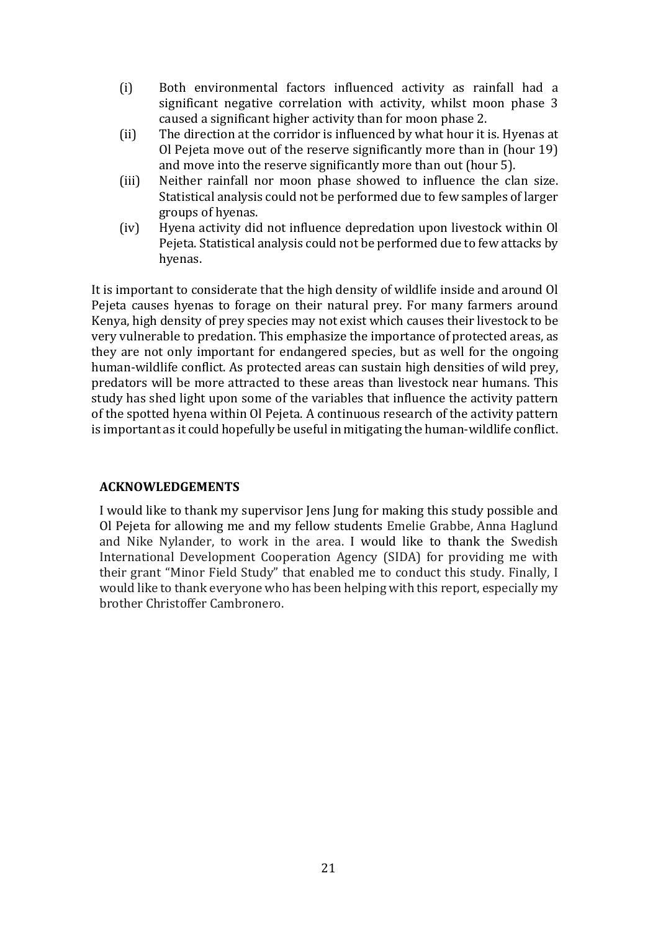- (i) Both environmental factors influenced activity as rainfall had a significant negative correlation with activity, whilst moon phase 3 caused a significant higher activity than for moon phase 2.
- (ii) The direction at the corridor is influenced by what hour it is. Hyenas at Ol Pejeta move out of the reserve significantly more than in (hour 19) and move into the reserve significantly more than out (hour 5).
- (iii) Neither rainfall nor moon phase showed to influence the clan size. Statistical analysis could not be performed due to few samples of larger groups of hyenas.
- (iv) Hyena activity did not influence depredation upon livestock within Ol Pejeta. Statistical analysis could not be performed due to few attacks by hyenas.

It is important to considerate that the high density of wildlife inside and around Ol Pejeta causes hyenas to forage on their natural prey. For many farmers around Kenya, high density of prey species may not exist which causes their livestock to be very vulnerable to predation. This emphasize the importance of protected areas, as they are not only important for endangered species, but as well for the ongoing human-wildlife conflict. As protected areas can sustain high densities of wild prey, predators will be more attracted to these areas than livestock near humans. This study has shed light upon some of the variables that influence the activity pattern of the spotted hyena within Ol Pejeta. A continuous research of the activity pattern is important as it could hopefully be useful in mitigating the human-wildlife conflict.

#### **ACKNOWLEDGEMENTS**

I would like to thank my supervisor Jens Jung for making this study possible and Ol Pejeta for allowing me and my fellow students Emelie Grabbe, Anna Haglund and Nike Nylander, to work in the area. I would like to thank the Swedish International Development Cooperation Agency (SIDA) for providing me with their grant "Minor Field Study" that enabled me to conduct this study. Finally, I would like to thank everyone who has been helping with this report, especially my brother Christoffer Cambronero.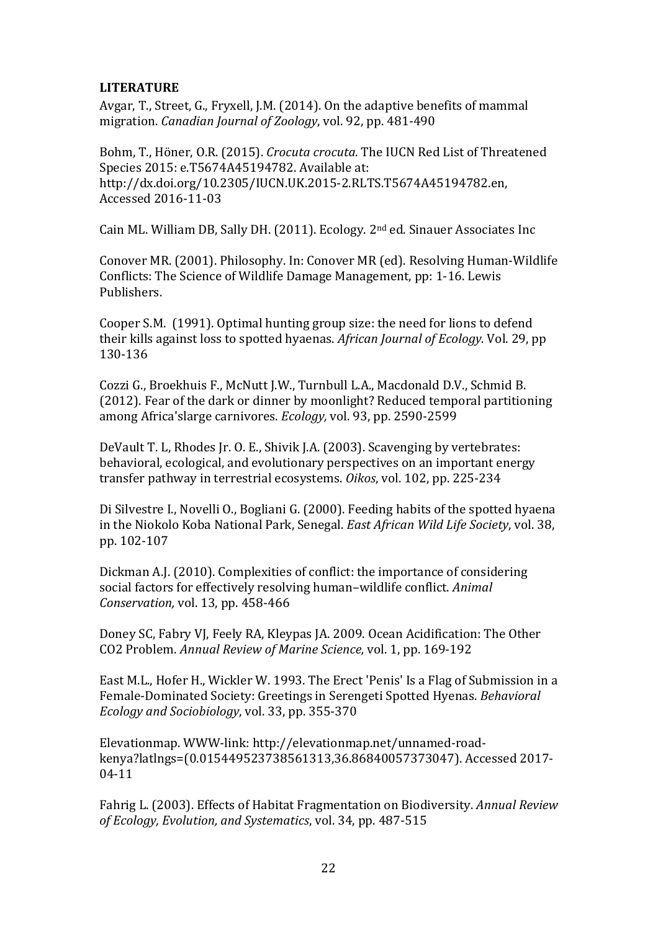#### **LITERATURE**

Avgar, T., Street, G., Fryxell, J.M. (2014). On the adaptive benefits of mammal migration. *Canadian Journal of Zoology*, vol. 92, pp. 481-490

Bohm, T., Höner, O.R. (2015). *Crocuta crocuta*. The IUCN Red List of Threatened Species 2015: e.T5674A45194782. Available at: http://dx.doi.org/10.2305/IUCN.UK.2015-2.RLTS.T5674A45194782.en, Accessed 2016-11-03

Cain ML. William DB, Sally DH. (2011). Ecology. 2nd ed. Sinauer Associates Inc

Conover MR. (2001). Philosophy. In: Conover MR (ed). Resolving Human-Wildlife Conflicts: The Science of Wildlife Damage Management, pp: 1-16. Lewis Publishers.

Cooper S.M. (1991). Optimal hunting group size: the need for lions to defend their kills against loss to spotted hyaenas. *African Journal of Ecology.* Vol. 29, pp 130-136

Cozzi G., Broekhuis F., McNutt J.W., Turnbull L.A., Macdonald D.V., Schmid B. (2012). Fear of the dark or dinner by moonlight? Reduced temporal partitioning among Africa'slarge carnivores. *Ecology,* vol. 93, pp. 2590-2599

DeVault T. L, Rhodes Jr. O. E., Shivik J.A. (2003). Scavenging by vertebrates: behavioral, ecological, and evolutionary perspectives on an important energy transfer pathway in terrestrial ecosystems. *Oikos*, vol. 102, pp. 225-234

Di Silvestre I., Novelli O., Bogliani G. (2000). Feeding habits of the spotted hyaena in the Niokolo Koba National Park, Senegal. *East African Wild Life Society*, vol. 38, pp. 102-107

Dickman A.J. (2010). Complexities of conflict: the importance of considering social factors for effectively resolving human–wildlife conflict. *Animal Conservation,* vol. 13, pp. 458-466

Doney SC, Fabry VJ, Feely RA, Kleypas JA. 2009. Ocean Acidification: The Other CO2 Problem. *Annual Review of Marine Science,* vol. 1, pp. 169-192

East M.L., Hofer H., Wickler W. 1993. The Erect 'Penis' Is a Flag of Submission in a Female-Dominated Society: Greetings in Serengeti Spotted Hyenas. *Behavioral Ecology and Sociobiology*, vol. 33, pp. 355-370

Elevationmap. WWW-link: http://elevationmap.net/unnamed-roadkenya?latlngs=(0.015449523738561313,36.86840057373047). Accessed 2017- 04-11

Fahrig L. (2003). Effects of Habitat Fragmentation on Biodiversity. *Annual Review of Ecology, Evolution, and Systematics*, vol. 34, pp. 487-515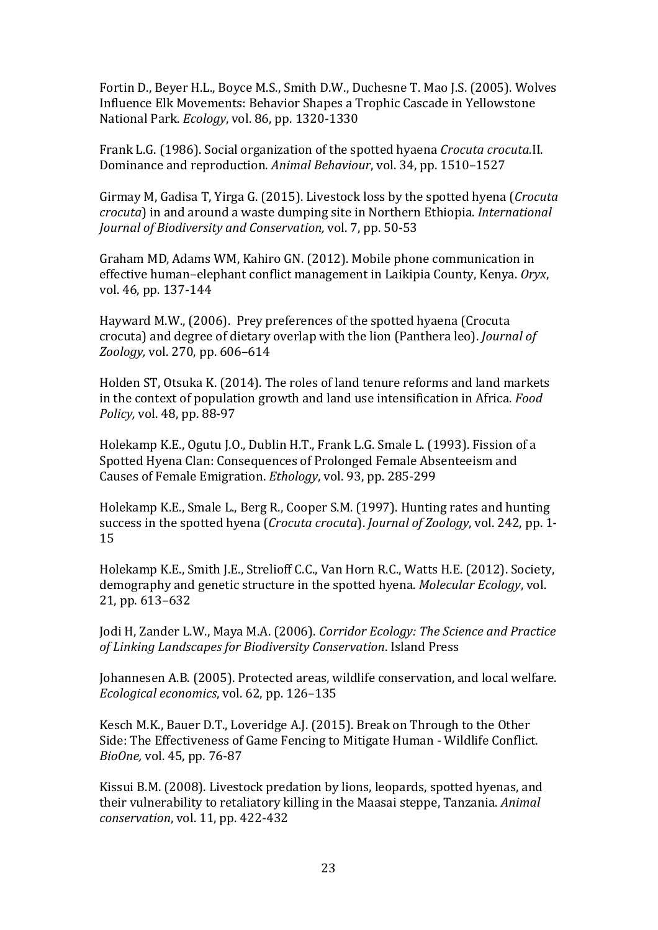Fortin D., Beyer H.L., Boyce M.S., Smith D.W., Duchesne T. Mao J.S. (2005). Wolves Influence Elk Movements: Behavior Shapes a Trophic Cascade in Yellowstone National Park. *Ecology*, vol. 86, pp. 1320-1330

Frank L.G. (1986). Social organization of the spotted hyaena *Crocuta crocuta.*II. Dominance and reproduction*. Animal Behaviour*, vol. 34, pp. 1510–1527

Girmay M, Gadisa T, Yirga G. (2015). Livestock loss by the spotted hyena (*Crocuta crocuta*) in and around a waste dumping site in Northern Ethiopia. *International Journal of Biodiversity and Conservation,* vol. 7, pp. 50-53

Graham MD, Adams WM, Kahiro GN. (2012). Mobile phone communication in effective human–elephant conflict management in Laikipia County, Kenya. *Oryx*, vol. 46, pp. 137-144

Hayward M.W., (2006). Prey preferences of the spotted hyaena (Crocuta crocuta) and degree of dietary overlap with the lion (Panthera leo). *Journal of Zoology,* vol. 270, pp. 606–614

Holden ST, Otsuka K. (2014). The roles of land tenure reforms and land markets in the context of population growth and land use intensification in Africa. *Food Policy,* vol. 48, pp. 88-97

Holekamp K.E., Ogutu J.O., Dublin H.T., Frank L.G. Smale L. (1993). Fission of a Spotted Hyena Clan: Consequences of Prolonged Female Absenteeism and Causes of Female Emigration. *Ethology*, vol. 93, pp. 285-299

Holekamp K.E., Smale L., Berg R., Cooper S.M. (1997). Hunting rates and hunting success in the spotted hyena (*Crocuta crocuta*). *Journal of Zoology*, vol. 242, pp. 1- 15

Holekamp K.E., Smith J.E., Strelioff C.C., Van Horn R.C., Watts H.E. (2012). Society, demography and genetic structure in the spotted hyena. *Molecular Ecology*, vol. 21, pp. 613–632

Jodi H, Zander L.W., Maya M.A. (2006). *Corridor Ecology: The Science and Practice of Linking Landscapes for Biodiversity Conservation*. Island Press

Johannesen A.B. (2005). Protected areas, wildlife conservation, and local welfare. *Ecological economics*, vol. 62, pp. 126–135

Kesch M.K., Bauer D.T., Loveridge A.J. (2015). Break on Through to the Other Side: The Effectiveness of Game Fencing to Mitigate Human - Wildlife Conflict. *BioOne,* vol. 45, pp. 76-87

Kissui B.M. (2008). Livestock predation by lions, leopards, spotted hyenas, and their vulnerability to retaliatory killing in the Maasai steppe, Tanzania. *Animal conservation*, vol. 11, pp. 422-432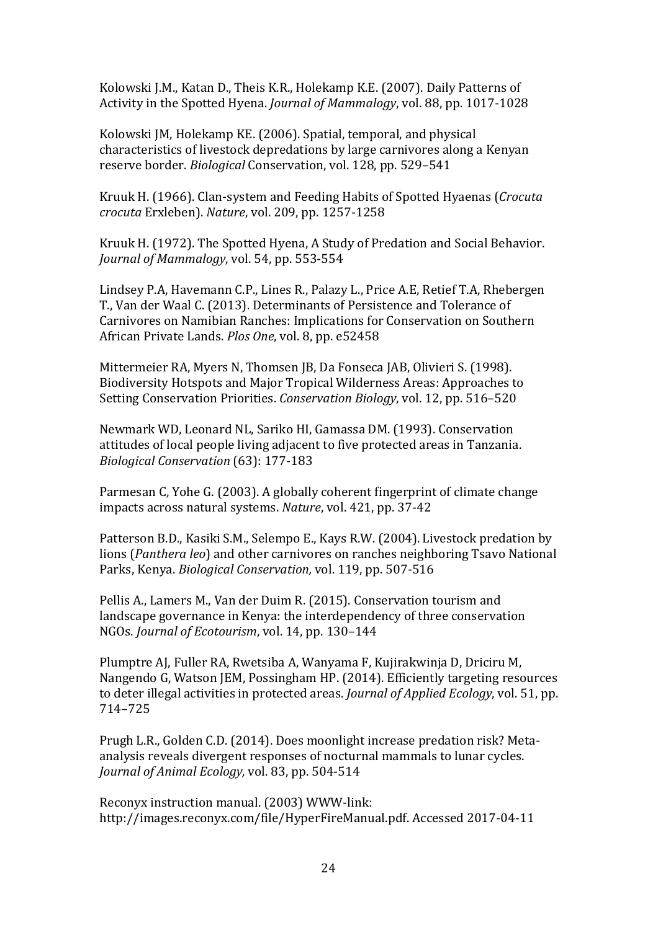Kolowski J.M., Katan D., Theis K.R., Holekamp K.E. (2007). Daily Patterns of Activity in the Spotted Hyena. *Journal of Mammalogy*, vol. 88, pp. 1017-1028

Kolowski JM, Holekamp KE. (2006). Spatial, temporal, and physical characteristics of livestock depredations by large carnivores along a Kenyan reserve border. *Biological* Conservation, vol. 128, pp. 529–541

Kruuk H. (1966). Clan-system and Feeding Habits of Spotted Hyaenas (*Crocuta crocuta* Erxleben). *Nature*, vol. 209, pp. 1257-1258

Kruuk H. (1972). The Spotted Hyena, A Study of Predation and Social Behavior. *Journal of Mammalogy*, vol. 54, pp. 553-554

Lindsey P.A, Havemann C.P., Lines R., Palazy L., Price A.E, Retief T.A, Rhebergen T., Van der Waal C. (2013). Determinants of Persistence and Tolerance of Carnivores on Namibian Ranches: Implications for Conservation on Southern African Private Lands. *Plos One*, vol. 8, pp. e52458

Mittermeier RA, Myers N, Thomsen JB, Da Fonseca JAB, Olivieri S. (1998). Biodiversity Hotspots and Major Tropical Wilderness Areas: Approaches to Setting Conservation Priorities. *Conservation Biology*, vol. 12, pp. 516–520

Newmark WD, Leonard NL, Sariko HI, Gamassa DM. (1993). Conservation attitudes of local people living adjacent to five protected areas in Tanzania. *Biological Conservation* (63): 177-183

Parmesan C, Yohe G. (2003). A globally coherent fingerprint of climate change impacts across natural systems. *Nature*, vol. 421, pp. 37-42

Patterson B.D., Kasiki S.M., Selempo E., Kays R.W. (2004). Livestock predation by lions (*Panthera leo*) and other carnivores on ranches neighboring Tsavo National Parks, Kenya. *Biological Conservation,* vol. 119, pp. 507-516

Pellis A., Lamers M., Van der Duim R. (2015). Conservation tourism and landscape governance in Kenya: the interdependency of three conservation NGOs. *Journal of Ecotourism*, vol. 14, pp. 130–144

Plumptre AJ, Fuller RA, Rwetsiba A, Wanyama F, Kujirakwinja D, Driciru M, Nangendo G, Watson JEM, Possingham HP. (2014). Efficiently targeting resources to deter illegal activities in protected areas. *Journal of Applied Ecology*, vol. 51, pp. 714–725

Prugh L.R., Golden C.D. (2014). Does moonlight increase predation risk? Metaanalysis reveals divergent responses of nocturnal mammals to lunar cycles. *Journal of Animal Ecology,* vol. 83, pp. 504-514

Reconyx instruction manual. (2003) WWW-link: http://images.reconyx.com/file/HyperFireManual.pdf. Accessed 2017-04-11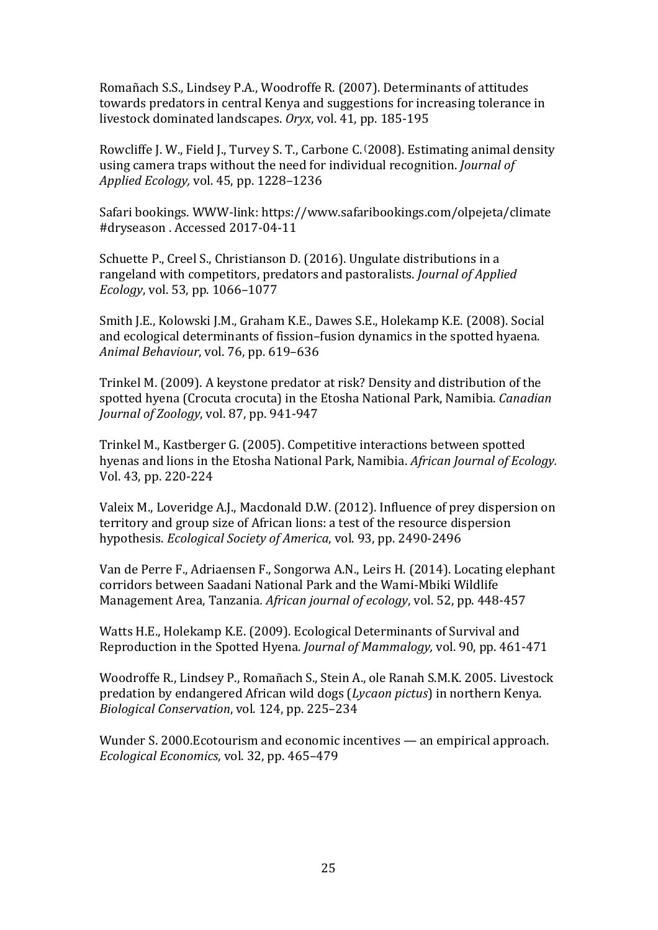Romañach S.S., Lindsey P.A., Woodroffe R. (2007). Determinants of attitudes towards predators in central Kenya and suggestions for increasing tolerance in livestock dominated landscapes. *Oryx*, vol. 41, pp. 185-195

Rowcliffe J. W., Field J., Turvey S. T., Carbone C. (2008). Estimating animal density using camera traps without the need for individual recognition. *Journal of Applied Ecology,* vol. 45, pp. 1228–1236

Safari bookings. WWW-link: https://www.safaribookings.com/olpejeta/climate #dryseason . Accessed 2017-04-11

Schuette P., Creel S., Christianson D. (2016). Ungulate distributions in a rangeland with competitors, predators and pastoralists. *Journal of Applied Ecology*, vol. 53, pp. 1066–1077

Smith J.E., Kolowski J.M., Graham K.E., Dawes S.E., Holekamp K.E. (2008). Social and ecological determinants of fission–fusion dynamics in the spotted hyaena. *Animal Behaviour*, vol. 76, pp. 619–636

Trinkel M. (2009). A keystone predator at risk? Density and distribution of the spotted hyena (Crocuta crocuta) in the Etosha National Park, Namibia. *Canadian Journal of Zoology*, vol. 87, pp. 941-947

[Trinkel](http://onlinelibrary.wiley.com/doi/10.1111/j.1365-2028.2005.00574.x/abstract) M., Kastberger G. (2005). [Competitive interactions between spotted](http://onlinelibrary.wiley.com/doi/10.1111/j.1365-2028.2005.00574.x/abstract)  [hyenas and lions in the Etosha National Park,](http://onlinelibrary.wiley.com/doi/10.1111/j.1365-2028.2005.00574.x/abstract) [Namibia.](http://onlinelibrary.wiley.com/doi/10.1111/j.1365-2028.2005.00574.x/abstract) *African Journal of Ecology.* Vol. 43, pp. 220-224

Valeix M., Loveridge A.J., Macdonald D.W. (2012). Influence of prey dispersion on territory and group size of African lions: a test of the resource dispersion hypothesis. *Ecological Society of America*, vol. 93, pp. 2490-2496

Van de Perre F., Adriaensen F., Songorwa A.N., Leirs H. (2014). Locating elephant corridors between Saadani National Park and the Wami-Mbiki Wildlife Management Area, Tanzania*. African journal of ecology*, vol. 52, pp. 448-457

Watts H.E., Holekamp K.E. (2009). Ecological Determinants of Survival and Reproduction in the Spotted Hyena. *Journal of Mammalogy,* vol. 90, pp. 461-471

Woodroffe R., Lindsey P., Romañach S., Stein A., ole Ranah S.M.K. 2005. Livestock predation by endangered African wild dogs (*Lycaon pictus*) in northern Kenya. *Biological Conservation*, vol. 124, pp. 225–234

Wunder S. 2000.Ecotourism and economic incentives — an empirical approach. *Ecological Economics*, vol. 32, pp. 465–479